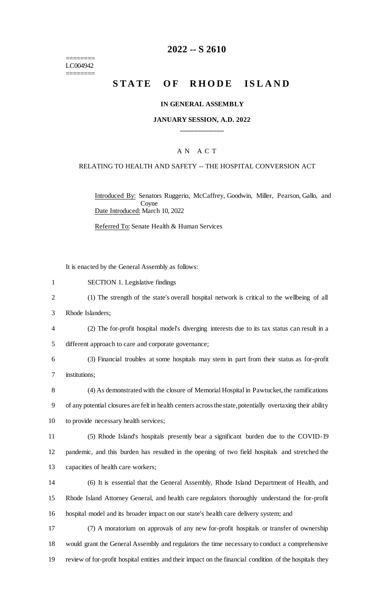======== LC004942 ========

### **2022 -- S 2610**

# **STATE OF RHODE ISLAND**

#### **IN GENERAL ASSEMBLY**

#### **JANUARY SESSION, A.D. 2022 \_\_\_\_\_\_\_\_\_\_\_\_**

### A N A C T

#### RELATING TO HEALTH AND SAFETY -- THE HOSPITAL CONVERSION ACT

Introduced By: Senators Ruggerio, McCaffrey, Goodwin, Miller, Pearson, Gallo, and Coyne Date Introduced: March 10, 2022

Referred To: Senate Health & Human Services

It is enacted by the General Assembly as follows:

- 1 SECTION 1. Legislative findings
- 2 (1) The strength of the state's overall hospital network is critical to the wellbeing of all
- 3 Rhode Islanders;
- 4 (2) The for-profit hospital model's diverging interests due to its tax status can result in a

5 different approach to care and corporate governance;

6 (3) Financial troubles at some hospitals may stem in part from their status as for-profit 7 institutions;

8 (4) As demonstrated with the closure of Memorial Hospital in Pawtucket, the ramifications 9 of any potential closures are felt in health centers across the state, potentially overtaxing their ability 10 to provide necessary health services;

- 11 (5) Rhode Island's hospitals presently bear a significant burden due to the COVID-19 12 pandemic, and this burden has resulted in the opening of two field hospitals and stretched the 13 capacities of health care workers;
- 14 (6) It is essential that the General Assembly, Rhode Island Department of Health, and 15 Rhode Island Attorney General, and health care regulators thoroughly understand the for-profit 16 hospital model and its broader impact on our state's health care delivery system; and
- 17 (7) A moratorium on approvals of any new for-profit hospitals or transfer of ownership 18 would grant the General Assembly and regulators the time necessary to conduct a comprehensive 19 review of for-profit hospital entities and their impact on the financial condition of the hospitals they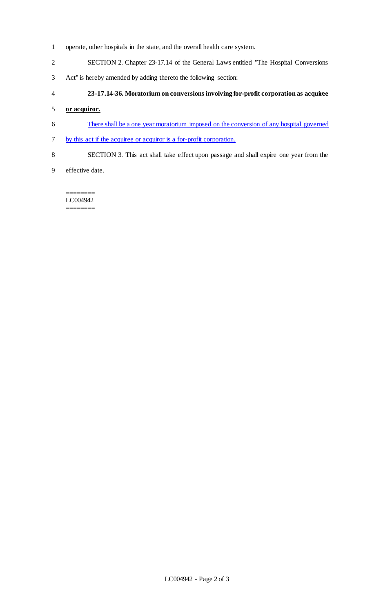- operate, other hospitals in the state, and the overall health care system.
- SECTION 2. Chapter 23-17.14 of the General Laws entitled "The Hospital Conversions
- Act" is hereby amended by adding thereto the following section:
- **23-17.14-36. Moratorium on conversions involving for-profit corporation as acquiree**

#### **or acquiror.**

- There shall be a one year moratorium imposed on the conversion of any hospital governed
- by this act if the acquiree or acquiror is a for-profit corporation.
- SECTION 3. This act shall take effect upon passage and shall expire one year from the
- effective date.

======== LC004942 ========